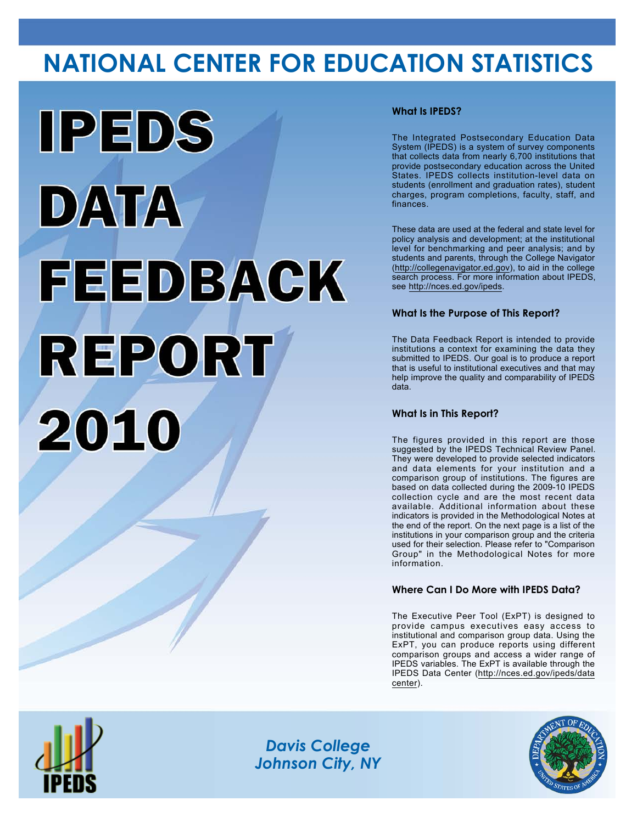# **NATIONAL CENTER FOR EDUCATION STATISTICS**



# **What Is IPEDS?**

The Integrated Postsecondary Education Data System (IPEDS) is a system of survey components that collects data from nearly 6,700 institutions that provide postsecondary education across the United States. IPEDS collects institution-level data on students (enrollment and graduation rates), student charges, program completions, faculty, staff, and finances.

These data are used at the federal and state level for policy analysis and development; at the institutional level for benchmarking and peer analysis; and by students and parents, through the College Navigator (<http://collegenavigator.ed.gov>), to aid in the college search process. For more information about IPEDS, see [http://nces.ed.gov/ipeds.](http://nces.ed.gov/ipeds)

# **What Is the Purpose of This Report?**

The Data Feedback Report is intended to provide institutions a context for examining the data they submitted to IPEDS. Our goal is to produce a report that is useful to institutional executives and that may help improve the quality and comparability of IPEDS data.

### **What Is in This Report?**

The figures provided in this report are those suggested by the IPEDS Technical Review Panel. They were developed to provide selected indicators and data elements for your institution and a comparison group of institutions. The figures are based on data collected during the 2009-10 IPEDS collection cycle and are the most recent data available. Additional information about these indicators is provided in the Methodological Notes at the end of the report. On the next page is a list of the institutions in your comparison group and the criteria used for their selection. Please refer to "Comparison Group" in the Methodological Notes for more information.

### **Where Can I Do More with IPEDS Data?**

The Executive Peer Tool (ExPT) is designed to provide campus executives easy access to institutional and comparison group data. Using the ExPT, you can produce reports using different comparison groups and access a wider range of IPEDS variables. The ExPT is available through the IPEDS Data Center ([http://nces.ed.gov/ipeds/data](http://nces.ed.gov/ipeds/datacenter) [center](http://nces.ed.gov/ipeds/datacenter)).



Image description. Cover Image End of image description.

*Davis College Johnson City, NY*

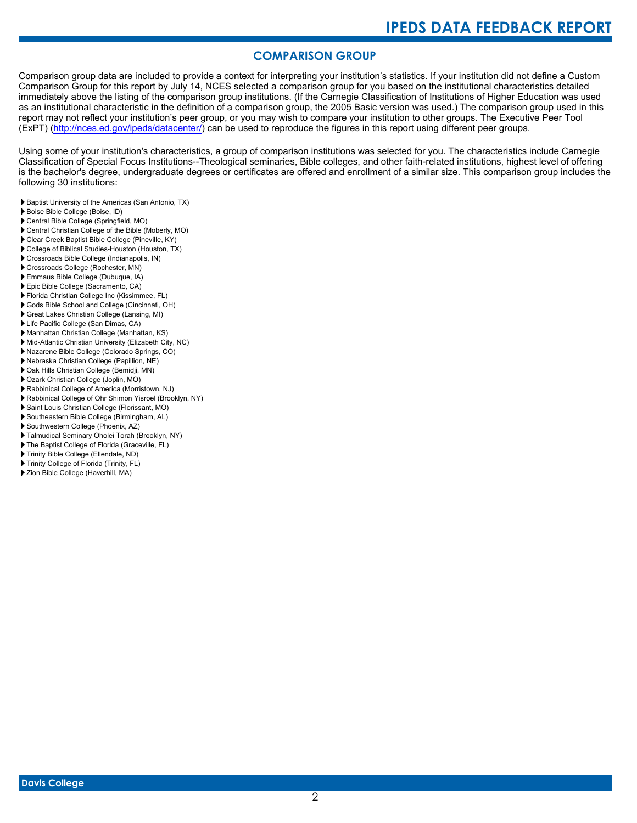# **COMPARISON GROUP**

Comparison group data are included to provide a context for interpreting your institution's statistics. If your institution did not define a Custom Comparison Group for this report by July 14, NCES selected a comparison group for you based on the institutional characteristics detailed immediately above the listing of the comparison group institutions. (If the Carnegie Classification of Institutions of Higher Education was used as an institutional characteristic in the definition of a comparison group, the 2005 Basic version was used.) The comparison group used in this report may not reflect your institution's peer group, or you may wish to compare your institution to other groups. The Executive Peer Tool (ExPT) [\(http://nces.ed.gov/ipeds/datacenter/\)](http://nces.ed.gov/ipeds/datacenter/) can be used to reproduce the figures in this report using different peer groups.

Using some of your institution's characteristics, a group of comparison institutions was selected for you. The characteristics include Carnegie Classification of Special Focus Institutions--Theological seminaries, Bible colleges, and other faith-related institutions, highest level of offering is the bachelor's degree, undergraduate degrees or certificates are offered and enrollment of a similar size. This comparison group includes the following 30 institutions:

Baptist University of the Americas (San Antonio, TX)

- Boise Bible College (Boise, ID)
- Central Bible College (Springfield, MO)
- Central Christian College of the Bible (Moberly, MO)
- Clear Creek Baptist Bible College (Pineville, KY)
- College of Biblical Studies-Houston (Houston, TX) Crossroads Bible College (Indianapolis, IN)
- Crossroads College (Rochester, MN)
- Emmaus Bible College (Dubuque, IA)
- Epic Bible College (Sacramento, CA)
- Florida Christian College Inc (Kissimmee, FL)
- Gods Bible School and College (Cincinnati, OH)
- Great Lakes Christian College (Lansing, MI)
- Life Pacific College (San Dimas, CA)
- Manhattan Christian College (Manhattan, KS)
- Mid-Atlantic Christian University (Elizabeth City, NC)
- Nazarene Bible College (Colorado Springs, CO)
- Nebraska Christian College (Papillion, NE)
- Oak Hills Christian College (Bemidji, MN)
- Ozark Christian College (Joplin, MO)
- Rabbinical College of America (Morristown, NJ)
- Rabbinical College of Ohr Shimon Yisroel (Brooklyn, NY)
- Saint Louis Christian College (Florissant, MO)
- Southeastern Bible College (Birmingham, AL)
- Southwestern College (Phoenix, AZ)
- Talmudical Seminary Oholei Torah (Brooklyn, NY)
- ▶ The Baptist College of Florida (Graceville, FL)
- Trinity Bible College (Ellendale, ND)
- Trinity College of Florida (Trinity, FL)
- Zion Bible College (Haverhill, MA)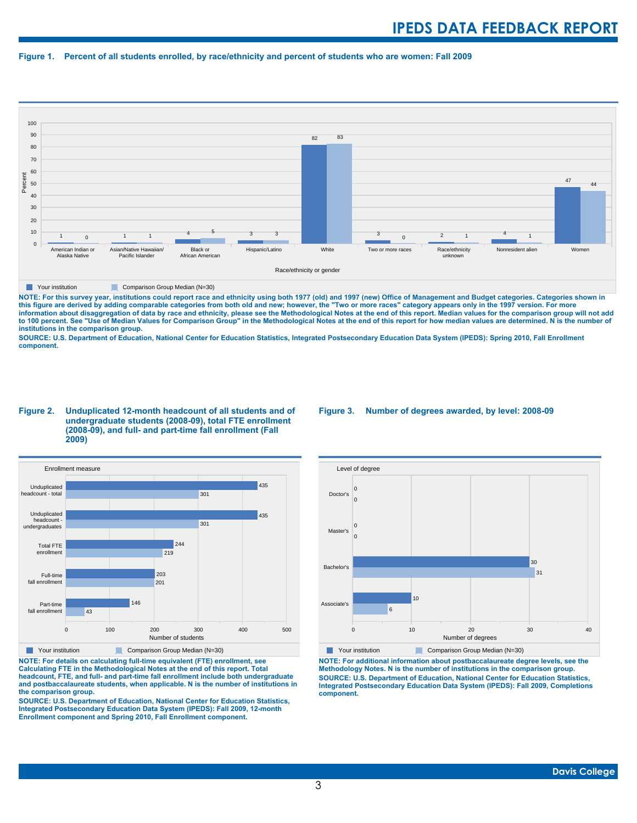#### **Figure 1. Percent of all students enrolled, by race/ethnicity and percent of students who are women: Fall 2009**



**The Comparison Group Median (N=30)** Comparison Group Median (N=30)

NOTE: For this survey year, institutions could report race and ethnicity using both 1977 (old) and 1997 (new) Office of Management and Budget categories. Categories shown in<br>this figure are derived by adding comparable cat **information about disaggregation of data by race and ethnicity, please see the Methodological Notes at the end of this report. Median values for the comparison group will not add to 100 percent. See "Use of Median Values for Comparison Group" in the Methodological Notes at the end of this report for how median values are determined. N is the number of institutions in the comparison group.**

**SOURCE: U.S. Department of Education, National Center for Education Statistics, Integrated Postsecondary Education Data System (IPEDS): Spring 2010, Fall Enrollment component.**

#### **Figure 2. Unduplicated 12-month headcount of all students and of undergraduate students (2008-09), total FTE enrollment (2008-09), and full- and part-time fall enrollment (Fall 2009)**



**The Comparison Group Median (N=30)** Comparison Group Median (N=30)

**NOTE: For details on calculating full-time equivalent (FTE) enrollment, see Calculating FTE in the Methodological Notes at the end of this report. Total headcount, FTE, and full- and part-time fall enrollment include both undergraduate and postbaccalaureate students, when applicable. N is the number of institutions in the comparison group.**

**SOURCE: U.S. Department of Education, National Center for Education Statistics, Integrated Postsecondary Education Data System (IPEDS): Fall 2009, 12-month Enrollment component and Spring 2010, Fall Enrollment component.**

#### **Figure 3. Number of degrees awarded, by level: 2008-09**



**NOTE: For additional information about postbaccalaureate degree levels, see the Methodology Notes. N is the number of institutions in the comparison group. SOURCE: U.S. Department of Education, National Center for Education Statistics, Integrated Postsecondary Education Data System (IPEDS): Fall 2009, Completions component.**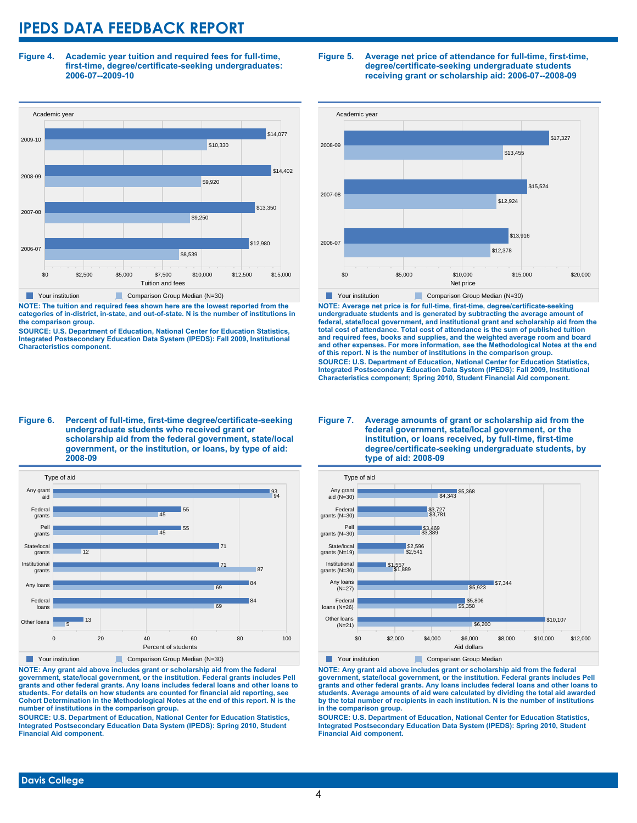**Figure 4. Academic year tuition and required fees for full-time, first-time, degree/certificate-seeking undergraduates: 2006-07--2009-10**



**NOTE: The tuition and required fees shown here are the lowest reported from the categories of in-district, in-state, and out-of-state. N is the number of institutions in the comparison group.**

**SOURCE: U.S. Department of Education, National Center for Education Statistics, Integrated Postsecondary Education Data System (IPEDS): Fall 2009, Institutional Characteristics component.**

#### **Figure 5. Average net price of attendance for full-time, first-time, degree/certificate-seeking undergraduate students receiving grant or scholarship aid: 2006-07--2008-09**



**NOTE: Average net price is for full-time, first-time, degree/certificate-seeking undergraduate students and is generated by subtracting the average amount of federal, state/local government, and institutional grant and scholarship aid from the total cost of attendance. Total cost of attendance is the sum of published tuition and required fees, books and supplies, and the weighted average room and board and other expenses. For more information, see the Methodological Notes at the end of this report. N is the number of institutions in the comparison group. SOURCE: U.S. Department of Education, National Center for Education Statistics, Integrated Postsecondary Education Data System (IPEDS): Fall 2009, Institutional Characteristics component; Spring 2010, Student Financial Aid component.**

#### **Figure 6. Percent of full-time, first-time degree/certificate-seeking undergraduate students who received grant or scholarship aid from the federal government, state/local government, or the institution, or loans, by type of aid: 2008-09**



**NOTE: Any grant aid above includes grant or scholarship aid from the federal government, state/local government, or the institution. Federal grants includes Pell grants and other federal grants. Any loans includes federal loans and other loans to students. For details on how students are counted for financial aid reporting, see Cohort Determination in the Methodological Notes at the end of this report. N is the number of institutions in the comparison group.**

**SOURCE: U.S. Department of Education, National Center for Education Statistics, Integrated Postsecondary Education Data System (IPEDS): Spring 2010, Student Financial Aid component.**

#### **Figure 7. Average amounts of grant or scholarship aid from the federal government, state/local government, or the institution, or loans received, by full-time, first-time degree/certificate-seeking undergraduate students, by type of aid: 2008-09**



**NOTE: Any grant aid above includes grant or scholarship aid from the federal government, state/local government, or the institution. Federal grants includes Pell grants and other federal grants. Any loans includes federal loans and other loans to students. Average amounts of aid were calculated by dividing the total aid awarded by the total number of recipients in each institution. N is the number of institutions in the comparison group.**

**SOURCE: U.S. Department of Education, National Center for Education Statistics, Integrated Postsecondary Education Data System (IPEDS): Spring 2010, Student Financial Aid component.**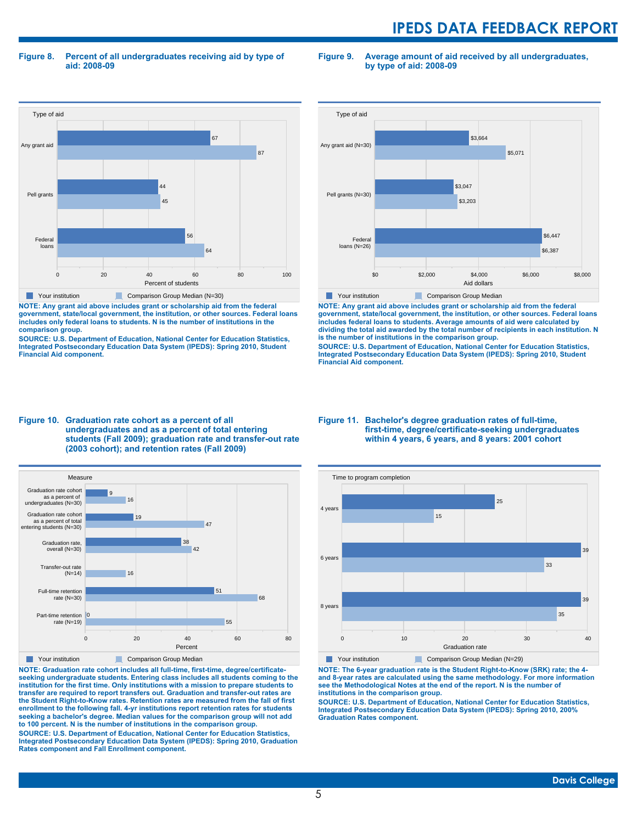**Figure 8. Percent of all undergraduates receiving aid by type of aid: 2008-09**

**Figure 9. Average amount of aid received by all undergraduates, by type of aid: 2008-09**



**NOTE: Any grant aid above includes grant or scholarship aid from the federal government, state/local government, the institution, or other sources. Federal loans includes only federal loans to students. N is the number of institutions in the comparison group.**

**SOURCE: U.S. Department of Education, National Center for Education Statistics, Integrated Postsecondary Education Data System (IPEDS): Spring 2010, Student Financial Aid component.**



**NOTE: Any grant aid above includes grant or scholarship aid from the federal government, state/local government, the institution, or other sources. Federal loans includes federal loans to students. Average amounts of aid were calculated by dividing the total aid awarded by the total number of recipients in each institution. N is the number of institutions in the comparison group.**

**SOURCE: U.S. Department of Education, National Center for Education Statistics, Integrated Postsecondary Education Data System (IPEDS): Spring 2010, Student Financial Aid component.**





**NOTE: Graduation rate cohort includes all full-time, first-time, degree/certificateseeking undergraduate students. Entering class includes all students coming to the institution for the first time. Only institutions with a mission to prepare students to transfer are required to report transfers out. Graduation and transfer-out rates are the Student Right-to-Know rates. Retention rates are measured from the fall of first enrollment to the following fall. 4-yr institutions report retention rates for students seeking a bachelor's degree. Median values for the comparison group will not add to 100 percent. N is the number of institutions in the comparison group.**

**SOURCE: U.S. Department of Education, National Center for Education Statistics, Integrated Postsecondary Education Data System (IPEDS): Spring 2010, Graduation Rates component and Fall Enrollment component.**

#### **Figure 11. Bachelor's degree graduation rates of full-time, first-time, degree/certificate-seeking undergraduates within 4 years, 6 years, and 8 years: 2001 cohort**



**NOTE: The 6-year graduation rate is the Student Right-to-Know (SRK) rate; the 4 and 8-year rates are calculated using the same methodology. For more information see the Methodological Notes at the end of the report. N is the number of institutions in the comparison group.**

**SOURCE: U.S. Department of Education, National Center for Education Statistics, Integrated Postsecondary Education Data System (IPEDS): Spring 2010, 200% Graduation Rates component.**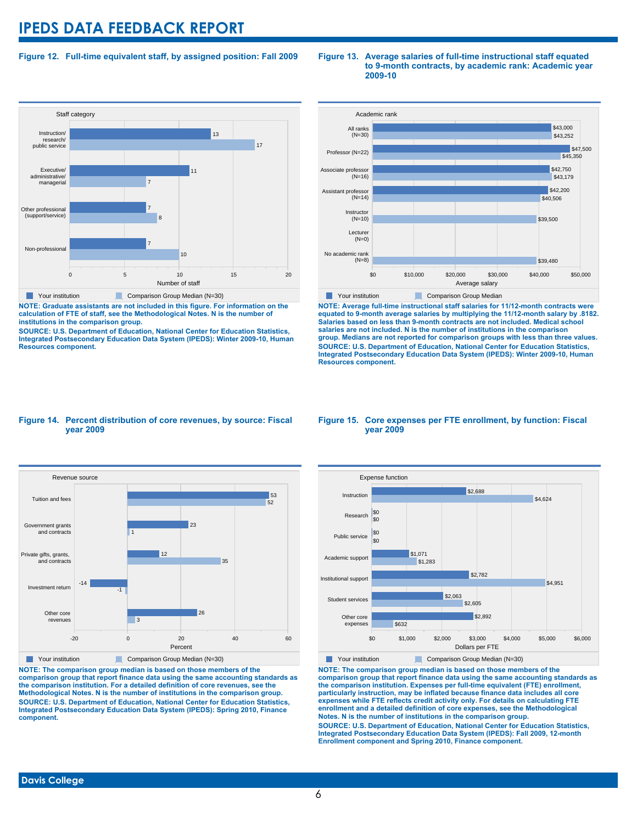### **Figure 12. Full-time equivalent staff, by assigned position: Fall 2009**

#### **Staff category** 0 5 10 15 20 Number of staff Non-professional Other professional (support/service) Executive/ administrative/ managerial Instruction/ research/ public service 10 7 8 7 7 11 17 13 **The Your institution Comparison Group Median (N=30)**

**NOTE: Graduate assistants are not included in this figure. For information on the calculation of FTE of staff, see the Methodological Notes. N is the number of institutions in the comparison group.**

**SOURCE: U.S. Department of Education, National Center for Education Statistics, Integrated Postsecondary Education Data System (IPEDS): Winter 2009-10, Human Resources component.**

#### **Figure 13. Average salaries of full-time instructional staff equated to 9-month contracts, by academic rank: Academic year 2009-10**



**NOTE: Average full-time instructional staff salaries for 11/12-month contracts were equated to 9-month average salaries by multiplying the 11/12-month salary by .8182. Salaries based on less than 9-month contracts are not included. Medical school salaries are not included. N is the number of institutions in the comparison group. Medians are not reported for comparison groups with less than three values. SOURCE: U.S. Department of Education, National Center for Education Statistics, Integrated Postsecondary Education Data System (IPEDS): Winter 2009-10, Human Resources component.**

#### **Figure 14. Percent distribution of core revenues, by source: Fiscal year 2009**



**NOTE: The comparison group median is based on those members of the comparison group that report finance data using the same accounting standards as the comparison institution. For a detailed definition of core revenues, see the Methodological Notes. N is the number of institutions in the comparison group. SOURCE: U.S. Department of Education, National Center for Education Statistics, Integrated Postsecondary Education Data System (IPEDS): Spring 2010, Finance component.**

#### **Figure 15. Core expenses per FTE enrollment, by function: Fiscal year 2009**



**NOTE: The comparison group median is based on those members of the comparison group that report finance data using the same accounting standards as the comparison institution. Expenses per full-time equivalent (FTE) enrollment, particularly instruction, may be inflated because finance data includes all core expenses while FTE reflects credit activity only. For details on calculating FTE enrollment and a detailed definition of core expenses, see the Methodological Notes. N is the number of institutions in the comparison group. SOURCE: U.S. Department of Education, National Center for Education Statistics, Integrated Postsecondary Education Data System (IPEDS): Fall 2009, 12-month Enrollment component and Spring 2010, Finance component.**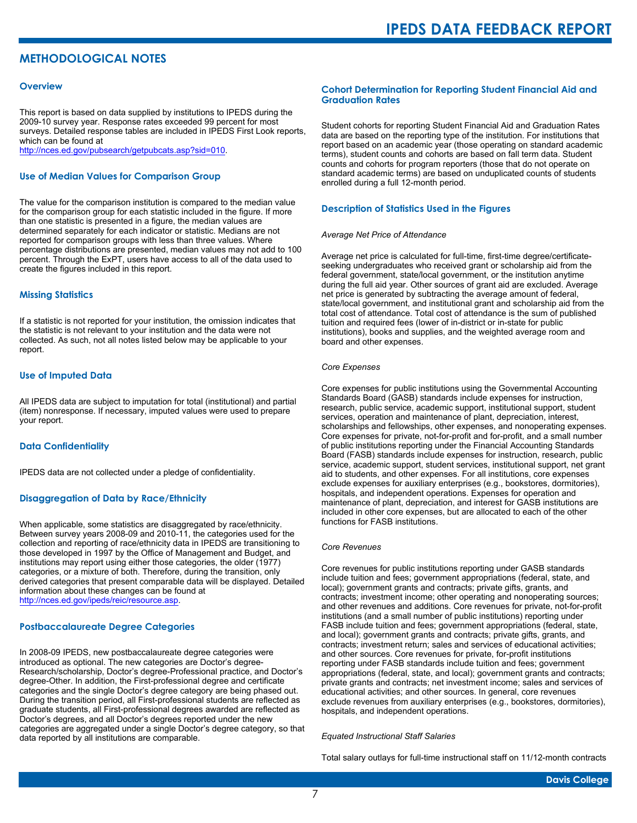# **METHODOLOGICAL NOTES**

#### **Overview**

This report is based on data supplied by institutions to IPEDS during the 2009-10 survey year. Response rates exceeded 99 percent for most surveys. Detailed response tables are included in IPEDS First Look reports, which can be found at [http://nces.ed.gov/pubsearch/getpubcats.asp?sid=010.](http://nces.ed.gov/pubsearch/getpubcats.asp?sid=010)

#### **Use of Median Values for Comparison Group**

The value for the comparison institution is compared to the median value for the comparison group for each statistic included in the figure. If more than one statistic is presented in a figure, the median values are determined separately for each indicator or statistic. Medians are not reported for comparison groups with less than three values. Where percentage distributions are presented, median values may not add to 100 percent. Through the ExPT, users have access to all of the data used to create the figures included in this report.

#### **Missing Statistics**

If a statistic is not reported for your institution, the omission indicates that the statistic is not relevant to your institution and the data were not collected. As such, not all notes listed below may be applicable to your report.

#### **Use of Imputed Data**

All IPEDS data are subject to imputation for total (institutional) and partial (item) nonresponse. If necessary, imputed values were used to prepare your report.

#### **Data Confidentiality**

IPEDS data are not collected under a pledge of confidentiality.

#### **Disaggregation of Data by Race/Ethnicity**

When applicable, some statistics are disaggregated by race/ethnicity. Between survey years 2008-09 and 2010-11, the categories used for the collection and reporting of race/ethnicity data in IPEDS are transitioning to those developed in 1997 by the Office of Management and Budget, and institutions may report using either those categories, the older (1977) categories, or a mixture of both. Therefore, during the transition, only derived categories that present comparable data will be displayed. Detailed information about these changes can be found at <http://nces.ed.gov/ipeds/reic/resource.asp>.

#### **Postbaccalaureate Degree Categories**

In 2008-09 IPEDS, new postbaccalaureate degree categories were introduced as optional. The new categories are Doctor's degree-Research/scholarship, Doctor's degree-Professional practice, and Doctor's degree-Other. In addition, the First-professional degree and certificate categories and the single Doctor's degree category are being phased out. During the transition period, all First-professional students are reflected as graduate students, all First-professional degrees awarded are reflected as Doctor's degrees, and all Doctor's degrees reported under the new categories are aggregated under a single Doctor's degree category, so that data reported by all institutions are comparable.

#### **Cohort Determination for Reporting Student Financial Aid and Graduation Rates**

Student cohorts for reporting Student Financial Aid and Graduation Rates data are based on the reporting type of the institution. For institutions that report based on an academic year (those operating on standard academic terms), student counts and cohorts are based on fall term data. Student counts and cohorts for program reporters (those that do not operate on standard academic terms) are based on unduplicated counts of students enrolled during a full 12-month period.

#### **Description of Statistics Used in the Figures**

#### *Average Net Price of Attendance*

Average net price is calculated for full-time, first-time degree/certificateseeking undergraduates who received grant or scholarship aid from the federal government, state/local government, or the institution anytime during the full aid year. Other sources of grant aid are excluded. Average net price is generated by subtracting the average amount of federal, state/local government, and institutional grant and scholarship aid from the total cost of attendance. Total cost of attendance is the sum of published tuition and required fees (lower of in-district or in-state for public institutions), books and supplies, and the weighted average room and board and other expenses.

#### *Core Expenses*

Core expenses for public institutions using the Governmental Accounting Standards Board (GASB) standards include expenses for instruction, research, public service, academic support, institutional support, student services, operation and maintenance of plant, depreciation, interest, scholarships and fellowships, other expenses, and nonoperating expenses. Core expenses for private, not-for-profit and for-profit, and a small number of public institutions reporting under the Financial Accounting Standards Board (FASB) standards include expenses for instruction, research, public service, academic support, student services, institutional support, net grant aid to students, and other expenses. For all institutions, core expenses exclude expenses for auxiliary enterprises (e.g., bookstores, dormitories), hospitals, and independent operations. Expenses for operation and maintenance of plant, depreciation, and interest for GASB institutions are included in other core expenses, but are allocated to each of the other functions for FASB institutions.

#### *Core Revenues*

Core revenues for public institutions reporting under GASB standards include tuition and fees; government appropriations (federal, state, and local); government grants and contracts; private gifts, grants, and contracts; investment income; other operating and nonoperating sources; and other revenues and additions. Core revenues for private, not-for-profit institutions (and a small number of public institutions) reporting under FASB include tuition and fees; government appropriations (federal, state, and local); government grants and contracts; private gifts, grants, and contracts; investment return; sales and services of educational activities; and other sources. Core revenues for private, for-profit institutions reporting under FASB standards include tuition and fees; government appropriations (federal, state, and local); government grants and contracts; private grants and contracts; net investment income; sales and services of educational activities; and other sources. In general, core revenues exclude revenues from auxiliary enterprises (e.g., bookstores, dormitories), hospitals, and independent operations.

#### *Equated Instructional Staff Salaries*

Total salary outlays for full-time instructional staff on 11/12-month contracts